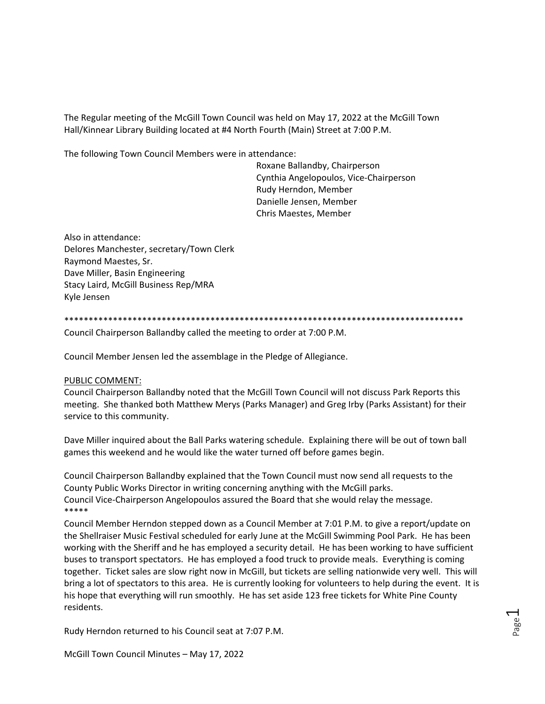The Regular meeting of the McGill Town Council was held on May 17, 2022 at the McGill Town Hall/Kinnear Library Building located at #4 North Fourth (Main) Street at 7:00 P.M.

The following Town Council Members were in attendance:

Roxane Ballandby, Chairperson Cynthia Angelopoulos, Vice-Chairperson Rudy Herndon, Member Danielle Jensen, Member Chris Maestes, Member

Also in attendance: Delores Manchester, secretary/Town Clerk Raymond Maestes, Sr. Dave Miller, Basin Engineering Stacy Laird, McGill Business Rep/MRA Kyle Jensen

\*\*\*\*\*\*\*\*\*\*\*\*\*\*\*\*\*\*\*\*\*\*\*\*\*\*\*\*\*\*\*\*\*\*\*\*\*\*\*\*\*\*\*\*\*\*\*\*\*\*\*\*\*\*\*\*\*\*\*\*\*\*\*\*\*\*\*\*\*\*\*\*\*\*\*\*\*\*\*\*\*\*

Council Chairperson Ballandby called the meeting to order at 7:00 P.M.

Council Member Jensen led the assemblage in the Pledge of Allegiance.

#### PUBLIC COMMENT:

Council Chairperson Ballandby noted that the McGill Town Council will not discuss Park Reports this meeting. She thanked both Matthew Merys (Parks Manager) and Greg Irby (Parks Assistant) for their service to this community.

Dave Miller inquired about the Ball Parks watering schedule. Explaining there will be out of town ball games this weekend and he would like the water turned off before games begin.

Council Chairperson Ballandby explained that the Town Council must now send all requests to the County Public Works Director in writing concerning anything with the McGill parks. Council Vice-Chairperson Angelopoulos assured the Board that she would relay the message. \*\*\*\*\*

Council Member Herndon stepped down as a Council Member at 7:01 P.M. to give a report/update on the Shellraiser Music Festival scheduled for early June at the McGill Swimming Pool Park. He has been working with the Sheriff and he has employed a security detail. He has been working to have sufficient buses to transport spectators. He has employed a food truck to provide meals. Everything is coming together. Ticket sales are slow right now in McGill, but tickets are selling nationwide very well. This will bring a lot of spectators to this area. He is currently looking for volunteers to help during the event. It is his hope that everything will run smoothly. He has set aside 123 free tickets for White Pine County residents.

Rudy Herndon returned to his Council seat at 7:07 P.M.

McGill Town Council Minutes – May 17, 2022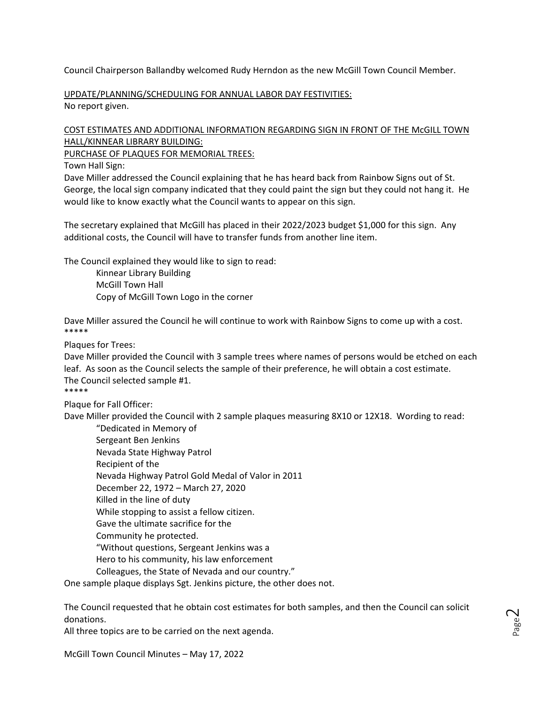Council Chairperson Ballandby welcomed Rudy Herndon as the new McGill Town Council Member.

UPDATE/PLANNING/SCHEDULING FOR ANNUAL LABOR DAY FESTIVITIES: No report given.

# COST ESTIMATES AND ADDITIONAL INFORMATION REGARDING SIGN IN FRONT OF THE McGILL TOWN HALL/KINNEAR LIBRARY BUILDING:

PURCHASE OF PLAQUES FOR MEMORIAL TREES:

Town Hall Sign:

Dave Miller addressed the Council explaining that he has heard back from Rainbow Signs out of St. George, the local sign company indicated that they could paint the sign but they could not hang it. He would like to know exactly what the Council wants to appear on this sign.

The secretary explained that McGill has placed in their 2022/2023 budget \$1,000 for this sign. Any additional costs, the Council will have to transfer funds from another line item.

The Council explained they would like to sign to read:

Kinnear Library Building McGill Town Hall Copy of McGill Town Logo in the corner

Dave Miller assured the Council he will continue to work with Rainbow Signs to come up with a cost. \*\*\*\*\*

Plaques for Trees:

Dave Miller provided the Council with 3 sample trees where names of persons would be etched on each leaf. As soon as the Council selects the sample of their preference, he will obtain a cost estimate. The Council selected sample #1. \*\*\*\*\*

Plaque for Fall Officer:

Dave Miller provided the Council with 2 sample plaques measuring 8X10 or 12X18. Wording to read:

"Dedicated in Memory of Sergeant Ben Jenkins Nevada State Highway Patrol Recipient of the Nevada Highway Patrol Gold Medal of Valor in 2011 December 22, 1972 – March 27, 2020 Killed in the line of duty While stopping to assist a fellow citizen. Gave the ultimate sacrifice for the Community he protected. "Without questions, Sergeant Jenkins was a Hero to his community, his law enforcement Colleagues, the State of Nevada and our country."

One sample plaque displays Sgt. Jenkins picture, the other does not.

The Council requested that he obtain cost estimates for both samples, and then the Council can solicit donations.

All three topics are to be carried on the next agenda.

McGill Town Council Minutes – May 17, 2022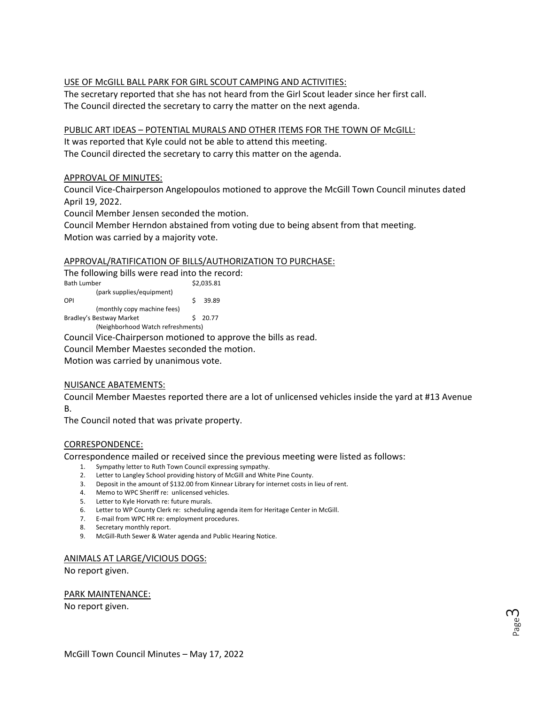## USE OF McGILL BALL PARK FOR GIRL SCOUT CAMPING AND ACTIVITIES:

The secretary reported that she has not heard from the Girl Scout leader since her first call. The Council directed the secretary to carry the matter on the next agenda.

PUBLIC ART IDEAS – POTENTIAL MURALS AND OTHER ITEMS FOR THE TOWN OF McGILL: It was reported that Kyle could not be able to attend this meeting.

The Council directed the secretary to carry this matter on the agenda.

### APPROVAL OF MINUTES:

Council Vice-Chairperson Angelopoulos motioned to approve the McGill Town Council minutes dated April 19, 2022.

Council Member Jensen seconded the motion.

Council Member Herndon abstained from voting due to being absent from that meeting. Motion was carried by a majority vote.

### APPROVAL/RATIFICATION OF BILLS/AUTHORIZATION TO PURCHASE:

The following bills were read into the record: Bath Lumber \$2,035.81 (park supplies/equipment) OPI \$ 39.89 (monthly copy machine fees) Bradley's Bestway Market \$ 20.77 (Neighborhood Watch refreshments)

Council Vice-Chairperson motioned to approve the bills as read.

Council Member Maestes seconded the motion.

Motion was carried by unanimous vote.

#### NUISANCE ABATEMENTS:

Council Member Maestes reported there are a lot of unlicensed vehicles inside the yard at #13 Avenue B.

The Council noted that was private property.

#### CORRESPONDENCE:

Correspondence mailed or received since the previous meeting were listed as follows:

- 1. Sympathy letter to Ruth Town Council expressing sympathy.
- 2. Letter to Langley School providing history of McGill and White Pine County.
- 3. Deposit in the amount of \$132.00 from Kinnear Library for internet costs in lieu of rent.
- 4. Memo to WPC Sheriff re: unlicensed vehicles.
- 5. Letter to Kyle Horvath re: future murals.
- 6. Letter to WP County Clerk re: scheduling agenda item for Heritage Center in McGill.
- 7. E-mail from WPC HR re: employment procedures.
- 8. Secretary monthly report.
- 9. McGill-Ruth Sewer & Water agenda and Public Hearing Notice.

#### ANIMALS AT LARGE/VICIOUS DOGS:

No report given.

#### PARK MAINTENANCE:

No report given.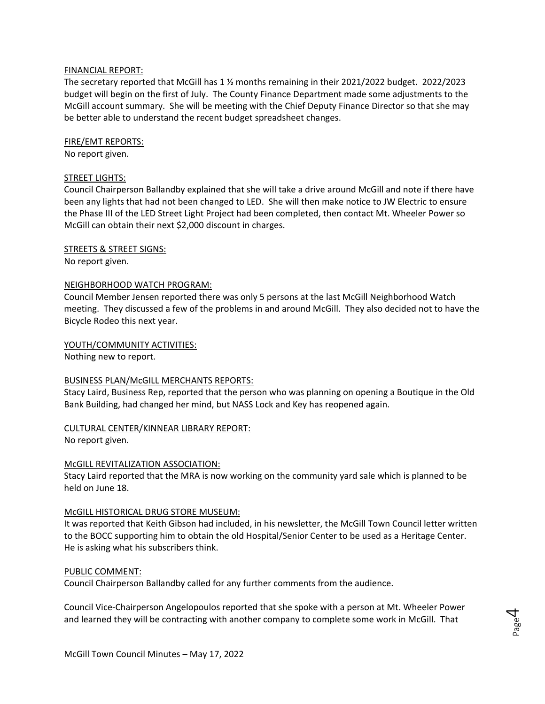#### FINANCIAL REPORT:

The secretary reported that McGill has 1 ½ months remaining in their 2021/2022 budget. 2022/2023 budget will begin on the first of July. The County Finance Department made some adjustments to the McGill account summary. She will be meeting with the Chief Deputy Finance Director so that she may be better able to understand the recent budget spreadsheet changes.

### FIRE/EMT REPORTS:

No report given.

### STREET LIGHTS:

Council Chairperson Ballandby explained that she will take a drive around McGill and note if there have been any lights that had not been changed to LED. She will then make notice to JW Electric to ensure the Phase III of the LED Street Light Project had been completed, then contact Mt. Wheeler Power so McGill can obtain their next \$2,000 discount in charges.

STREETS & STREET SIGNS:

No report given.

### NEIGHBORHOOD WATCH PROGRAM:

Council Member Jensen reported there was only 5 persons at the last McGill Neighborhood Watch meeting. They discussed a few of the problems in and around McGill. They also decided not to have the Bicycle Rodeo this next year.

YOUTH/COMMUNITY ACTIVITIES:

Nothing new to report.

#### BUSINESS PLAN/McGILL MERCHANTS REPORTS:

Stacy Laird, Business Rep, reported that the person who was planning on opening a Boutique in the Old Bank Building, had changed her mind, but NASS Lock and Key has reopened again.

## CULTURAL CENTER/KINNEAR LIBRARY REPORT:

No report given.

## McGILL REVITALIZATION ASSOCIATION:

Stacy Laird reported that the MRA is now working on the community yard sale which is planned to be held on June 18.

#### McGILL HISTORICAL DRUG STORE MUSEUM:

It was reported that Keith Gibson had included, in his newsletter, the McGill Town Council letter written to the BOCC supporting him to obtain the old Hospital/Senior Center to be used as a Heritage Center. He is asking what his subscribers think.

## PUBLIC COMMENT:

Council Chairperson Ballandby called for any further comments from the audience.

Council Vice-Chairperson Angelopoulos reported that she spoke with a person at Mt. Wheeler Power and learned they will be contracting with another company to complete some work in McGill. That